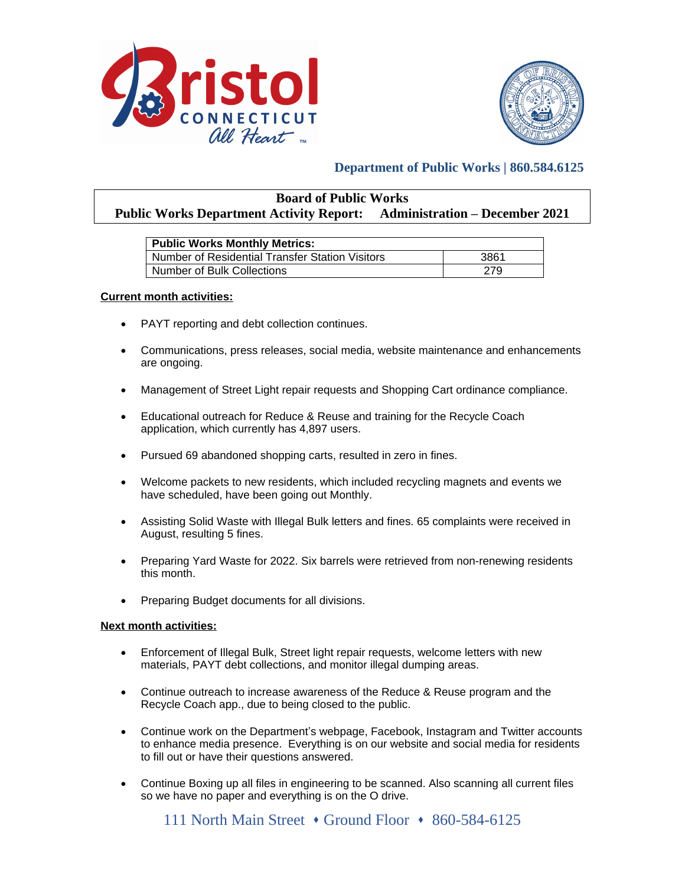



# **Department of Public Works | 860.584.6125**

| <b>Board of Public Works</b>                                                   |  |  |
|--------------------------------------------------------------------------------|--|--|
| <b>Public Works Department Activity Report:</b> Administration – December 2021 |  |  |

| <b>Public Works Monthly Metrics:</b>            |      |  |
|-------------------------------------------------|------|--|
| Number of Residential Transfer Station Visitors | 3861 |  |
| Number of Bulk Collections                      | 279  |  |

## **Current month activities:**

- PAYT reporting and debt collection continues.
- Communications, press releases, social media, website maintenance and enhancements are ongoing.
- Management of Street Light repair requests and Shopping Cart ordinance compliance.
- Educational outreach for Reduce & Reuse and training for the Recycle Coach application, which currently has 4,897 users.
- Pursued 69 abandoned shopping carts, resulted in zero in fines.
- Welcome packets to new residents, which included recycling magnets and events we have scheduled, have been going out Monthly.
- Assisting Solid Waste with Illegal Bulk letters and fines. 65 complaints were received in August, resulting 5 fines.
- Preparing Yard Waste for 2022. Six barrels were retrieved from non-renewing residents this month.
- Preparing Budget documents for all divisions.

### **Next month activities:**

- Enforcement of Illegal Bulk, Street light repair requests, welcome letters with new materials, PAYT debt collections, and monitor illegal dumping areas.
- Continue outreach to increase awareness of the Reduce & Reuse program and the Recycle Coach app., due to being closed to the public.
- Continue work on the Department's webpage, Facebook, Instagram and Twitter accounts to enhance media presence. Everything is on our website and social media for residents to fill out or have their questions answered.
- Continue Boxing up all files in engineering to be scanned. Also scanning all current files so we have no paper and everything is on the O drive.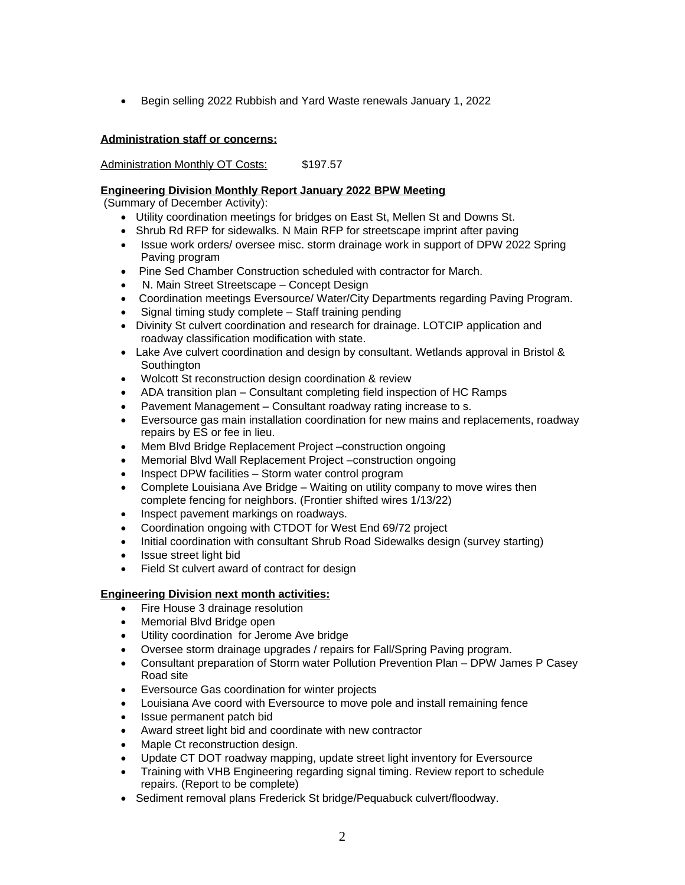Begin selling 2022 Rubbish and Yard Waste renewals January 1, 2022

# **Administration staff or concerns:**

Administration Monthly OT Costs: \$197.57

# **Engineering Division Monthly Report January 2022 BPW Meeting**

(Summary of December Activity):

- Utility coordination meetings for bridges on East St, Mellen St and Downs St.
- Shrub Rd RFP for sidewalks. N Main RFP for streetscape imprint after paving
- Issue work orders/ oversee misc. storm drainage work in support of DPW 2022 Spring Paving program
- Pine Sed Chamber Construction scheduled with contractor for March.
- N. Main Street Streetscape Concept Design
- Coordination meetings Eversource/ Water/City Departments regarding Paving Program.
- Signal timing study complete Staff training pending
- Divinity St culvert coordination and research for drainage. LOTCIP application and roadway classification modification with state.
- Lake Ave culvert coordination and design by consultant. Wetlands approval in Bristol & **Southington**
- Wolcott St reconstruction design coordination & review
- ADA transition plan Consultant completing field inspection of HC Ramps
- Pavement Management Consultant roadway rating increase to s.
- Eversource gas main installation coordination for new mains and replacements, roadway repairs by ES or fee in lieu.
- Mem Blvd Bridge Replacement Project –construction ongoing
- Memorial Blvd Wall Replacement Project –construction ongoing
- Inspect DPW facilities Storm water control program
- Complete Louisiana Ave Bridge Waiting on utility company to move wires then complete fencing for neighbors. (Frontier shifted wires 1/13/22)
- Inspect pavement markings on roadways.
- Coordination ongoing with CTDOT for West End 69/72 project
- Initial coordination with consultant Shrub Road Sidewalks design (survey starting)
- Issue street light bid
- Field St culvert award of contract for design

# **Engineering Division next month activities:**

- Fire House 3 drainage resolution
- Memorial Blvd Bridge open
- Utility coordination for Jerome Ave bridge
- Oversee storm drainage upgrades / repairs for Fall/Spring Paving program.
- Consultant preparation of Storm water Pollution Prevention Plan DPW James P Casey Road site
- Eversource Gas coordination for winter projects
- Louisiana Ave coord with Eversource to move pole and install remaining fence
- Issue permanent patch bid
- Award street light bid and coordinate with new contractor
- Maple Ct reconstruction design.
- Update CT DOT roadway mapping, update street light inventory for Eversource
- Training with VHB Engineering regarding signal timing. Review report to schedule repairs. (Report to be complete)
- Sediment removal plans Frederick St bridge/Pequabuck culvert/floodway.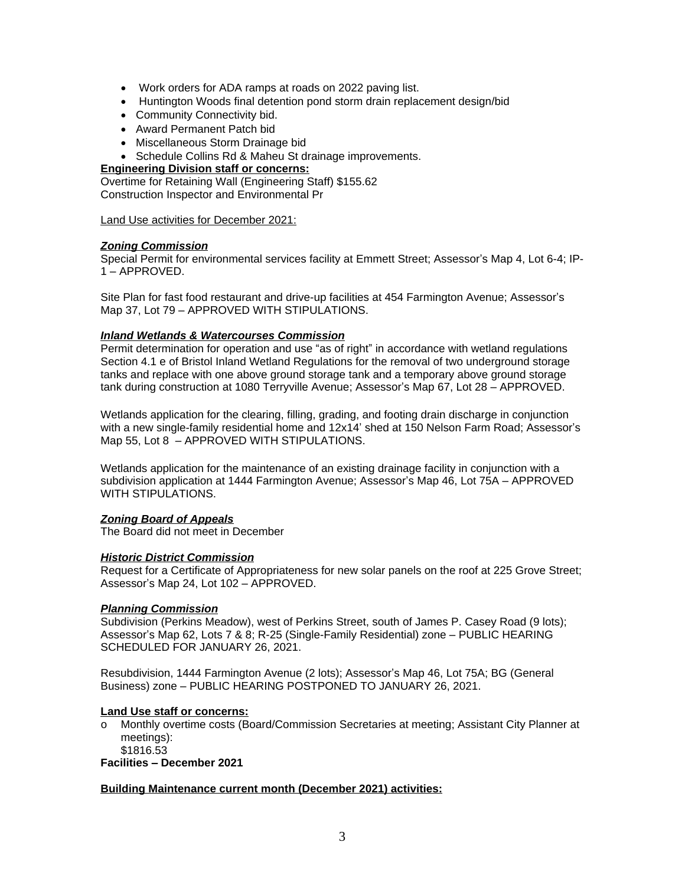- Work orders for ADA ramps at roads on 2022 paving list.
- Huntington Woods final detention pond storm drain replacement design/bid
- Community Connectivity bid.
- Award Permanent Patch bid
- Miscellaneous Storm Drainage bid
- Schedule Collins Rd & Maheu St drainage improvements.

### **Engineering Division staff or concerns:**

Overtime for Retaining Wall (Engineering Staff) \$155.62 Construction Inspector and Environmental Pr

Land Use activities for December 2021:

## *Zoning Commission*

Special Permit for environmental services facility at Emmett Street; Assessor's Map 4, Lot 6-4; IP-1 – APPROVED.

Site Plan for fast food restaurant and drive-up facilities at 454 Farmington Avenue; Assessor's Map 37, Lot 79 – APPROVED WITH STIPULATIONS.

## *Inland Wetlands & Watercourses Commission*

Permit determination for operation and use "as of right" in accordance with wetland regulations Section 4.1 e of Bristol Inland Wetland Regulations for the removal of two underground storage tanks and replace with one above ground storage tank and a temporary above ground storage tank during construction at 1080 Terryville Avenue; Assessor's Map 67, Lot 28 – APPROVED.

Wetlands application for the clearing, filling, grading, and footing drain discharge in conjunction with a new single-family residential home and 12x14' shed at 150 Nelson Farm Road; Assessor's Map 55, Lot 8 – APPROVED WITH STIPULATIONS.

Wetlands application for the maintenance of an existing drainage facility in conjunction with a subdivision application at 1444 Farmington Avenue; Assessor's Map 46, Lot 75A – APPROVED WITH STIPULATIONS.

### *Zoning Board of Appeals*

The Board did not meet in December

### *Historic District Commission*

Request for a Certificate of Appropriateness for new solar panels on the roof at 225 Grove Street; Assessor's Map 24, Lot 102 – APPROVED.

### *Planning Commission*

Subdivision (Perkins Meadow), west of Perkins Street, south of James P. Casey Road (9 lots); Assessor's Map 62, Lots 7 & 8; R-25 (Single-Family Residential) zone – PUBLIC HEARING SCHEDULED FOR JANUARY 26, 2021.

Resubdivision, 1444 Farmington Avenue (2 lots); Assessor's Map 46, Lot 75A; BG (General Business) zone – PUBLIC HEARING POSTPONED TO JANUARY 26, 2021.

### **Land Use staff or concerns:**

- o Monthly overtime costs (Board/Commission Secretaries at meeting; Assistant City Planner at meetings):
	- \$1816.53

**Facilities – December 2021**

### **Building Maintenance current month (December 2021) activities:**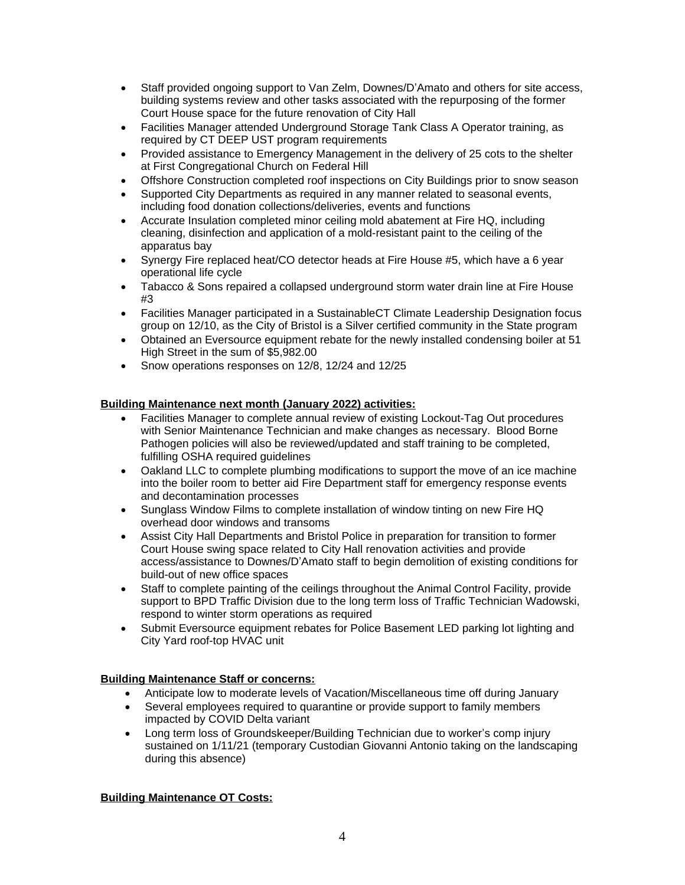- Staff provided ongoing support to Van Zelm, Downes/D'Amato and others for site access, building systems review and other tasks associated with the repurposing of the former Court House space for the future renovation of City Hall
- Facilities Manager attended Underground Storage Tank Class A Operator training, as required by CT DEEP UST program requirements
- Provided assistance to Emergency Management in the delivery of 25 cots to the shelter at First Congregational Church on Federal Hill
- Offshore Construction completed roof inspections on City Buildings prior to snow season
- Supported City Departments as required in any manner related to seasonal events, including food donation collections/deliveries, events and functions
- Accurate Insulation completed minor ceiling mold abatement at Fire HQ, including cleaning, disinfection and application of a mold-resistant paint to the ceiling of the apparatus bay
- Synergy Fire replaced heat/CO detector heads at Fire House #5, which have a 6 year operational life cycle
- Tabacco & Sons repaired a collapsed underground storm water drain line at Fire House #3
- Facilities Manager participated in a SustainableCT Climate Leadership Designation focus group on 12/10, as the City of Bristol is a Silver certified community in the State program
- Obtained an Eversource equipment rebate for the newly installed condensing boiler at 51 High Street in the sum of \$5,982.00
- Snow operations responses on 12/8, 12/24 and 12/25

# **Building Maintenance next month (January 2022) activities:**

- Facilities Manager to complete annual review of existing Lockout-Tag Out procedures with Senior Maintenance Technician and make changes as necessary. Blood Borne Pathogen policies will also be reviewed/updated and staff training to be completed, fulfilling OSHA required guidelines
- Oakland LLC to complete plumbing modifications to support the move of an ice machine into the boiler room to better aid Fire Department staff for emergency response events and decontamination processes
- Sunglass Window Films to complete installation of window tinting on new Fire HQ overhead door windows and transoms
- Assist City Hall Departments and Bristol Police in preparation for transition to former Court House swing space related to City Hall renovation activities and provide access/assistance to Downes/D'Amato staff to begin demolition of existing conditions for build-out of new office spaces
- Staff to complete painting of the ceilings throughout the Animal Control Facility, provide support to BPD Traffic Division due to the long term loss of Traffic Technician Wadowski, respond to winter storm operations as required
- Submit Eversource equipment rebates for Police Basement LED parking lot lighting and City Yard roof-top HVAC unit

# **Building Maintenance Staff or concerns:**

- Anticipate low to moderate levels of Vacation/Miscellaneous time off during January
- Several employees required to quarantine or provide support to family members impacted by COVID Delta variant
- Long term loss of Groundskeeper/Building Technician due to worker's comp injury sustained on 1/11/21 (temporary Custodian Giovanni Antonio taking on the landscaping during this absence)

# **Building Maintenance OT Costs:**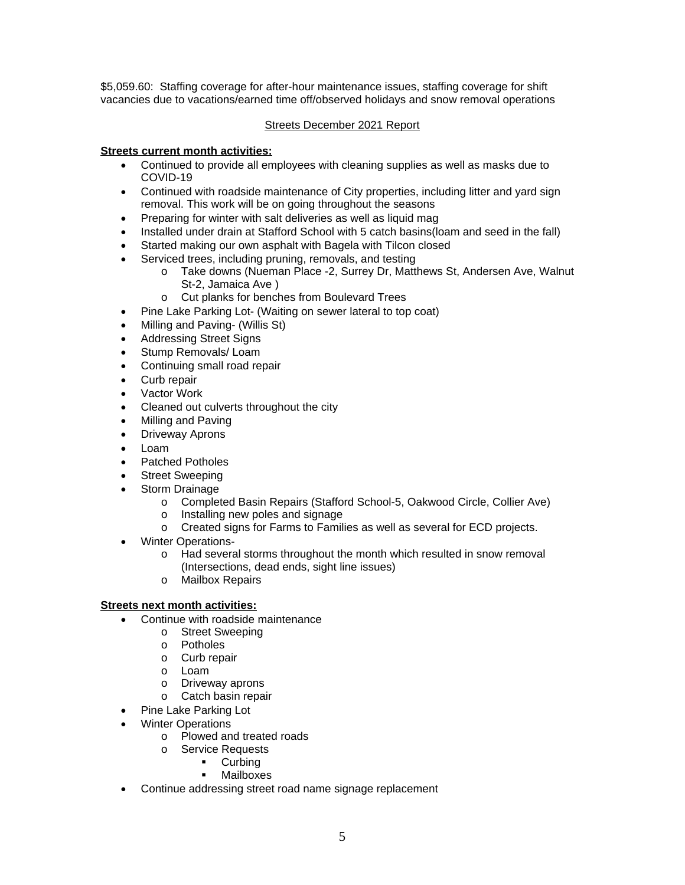\$5,059.60: Staffing coverage for after-hour maintenance issues, staffing coverage for shift vacancies due to vacations/earned time off/observed holidays and snow removal operations

# Streets December 2021 Report

## **Streets current month activities:**

- Continued to provide all employees with cleaning supplies as well as masks due to COVID-19
- Continued with roadside maintenance of City properties, including litter and yard sign removal. This work will be on going throughout the seasons
- Preparing for winter with salt deliveries as well as liquid mag
- Installed under drain at Stafford School with 5 catch basins (loam and seed in the fall)
- Started making our own asphalt with Bagela with Tilcon closed
- Serviced trees, including pruning, removals, and testing
	- o Take downs (Nueman Place -2, Surrey Dr, Matthews St, Andersen Ave, Walnut St-2, Jamaica Ave )
	- o Cut planks for benches from Boulevard Trees
- Pine Lake Parking Lot- (Waiting on sewer lateral to top coat)
- Milling and Paving- (Willis St)
- Addressing Street Signs
- Stump Removals/ Loam
- Continuing small road repair
- Curb repair
- Vactor Work
- Cleaned out culverts throughout the city
- Milling and Paving
- Driveway Aprons
- Loam
- Patched Potholes
- Street Sweeping
- Storm Drainage
	- o Completed Basin Repairs (Stafford School-5, Oakwood Circle, Collier Ave)
	- o Installing new poles and signage
	- o Created signs for Farms to Families as well as several for ECD projects.
- Winter Operations
	- o Had several storms throughout the month which resulted in snow removal (Intersections, dead ends, sight line issues)
	- o Mailbox Repairs

### **Streets next month activities:**

- Continue with roadside maintenance
	- o Street Sweeping
	- o Potholes
	- o Curb repair
	- o Loam
	- o Driveway aprons
	- o Catch basin repair
- Pine Lake Parking Lot
- Winter Operations
	- o Plowed and treated roads
	- o Service Requests
		- **-** Curbing
		- Mailboxes
- Continue addressing street road name signage replacement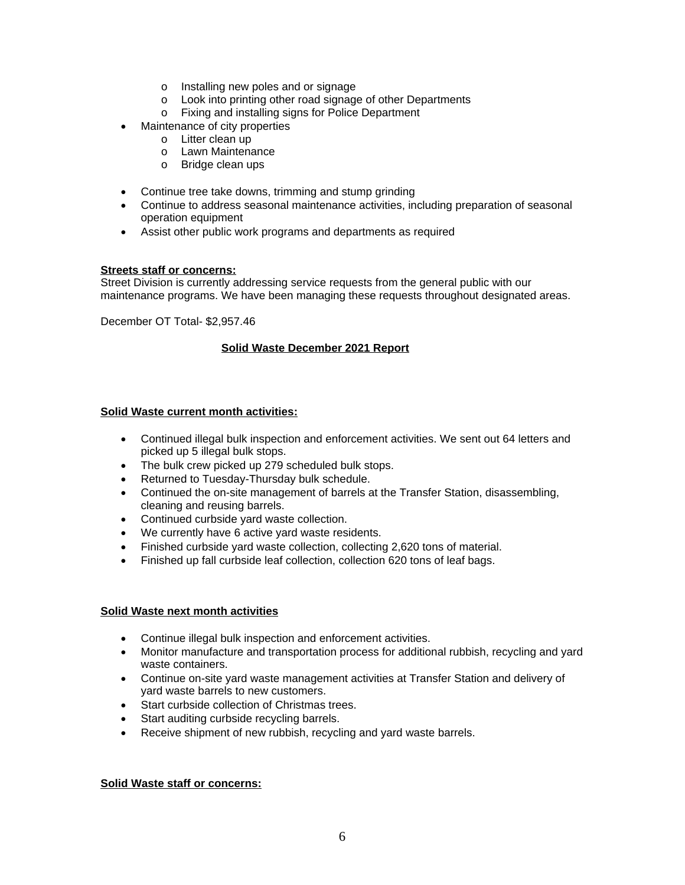- o Installing new poles and or signage
- o Look into printing other road signage of other Departments
- o Fixing and installing signs for Police Department
- Maintenance of city properties
	- o Litter clean up
	- o Lawn Maintenance
	- o Bridge clean ups
- Continue tree take downs, trimming and stump grinding
- Continue to address seasonal maintenance activities, including preparation of seasonal operation equipment
- Assist other public work programs and departments as required

# **Streets staff or concerns:**

Street Division is currently addressing service requests from the general public with our maintenance programs. We have been managing these requests throughout designated areas.

December OT Total- \$2,957.46

## **Solid Waste December 2021 Report**

# **Solid Waste current month activities:**

- Continued illegal bulk inspection and enforcement activities. We sent out 64 letters and picked up 5 illegal bulk stops.
- The bulk crew picked up 279 scheduled bulk stops.
- Returned to Tuesday-Thursday bulk schedule.
- Continued the on-site management of barrels at the Transfer Station, disassembling, cleaning and reusing barrels.
- Continued curbside yard waste collection.
- We currently have 6 active yard waste residents.
- Finished curbside yard waste collection, collecting 2,620 tons of material.
- Finished up fall curbside leaf collection, collection 620 tons of leaf bags.

### **Solid Waste next month activities**

- Continue illegal bulk inspection and enforcement activities.
- Monitor manufacture and transportation process for additional rubbish, recycling and yard waste containers.
- Continue on-site yard waste management activities at Transfer Station and delivery of yard waste barrels to new customers.
- Start curbside collection of Christmas trees.
- Start auditing curbside recycling barrels.
- Receive shipment of new rubbish, recycling and yard waste barrels.

## **Solid Waste staff or concerns:**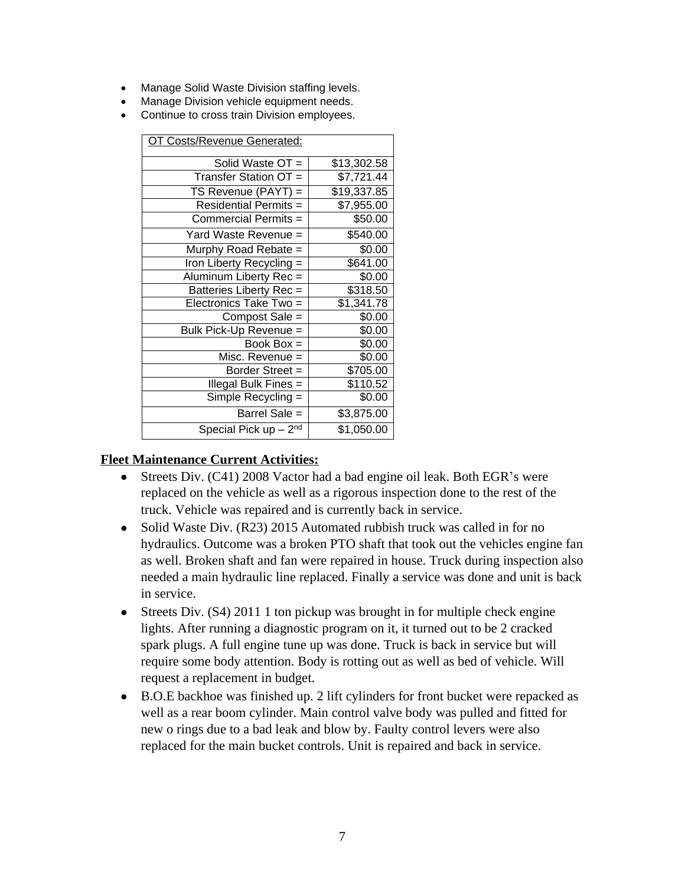- Manage Solid Waste Division staffing levels.
- Manage Division vehicle equipment needs.
- Continue to cross train Division employees.

| OT Costs/Revenue Generated:  |             |  |
|------------------------------|-------------|--|
| Solid Waste OT =             | \$13,302.58 |  |
| Transfer Station OT =        | \$7,721.44  |  |
| $TS$ Revenue (PAYT) =        | \$19,337.85 |  |
| <b>Residential Permits =</b> | \$7,955.00  |  |
| Commercial Permits =         | \$50.00     |  |
| Yard Waste Revenue =         | \$540.00    |  |
| Murphy Road Rebate =         | \$0.00      |  |
| Iron Liberty Recycling =     | \$641.00    |  |
| Aluminum Liberty Rec =       | \$0.00      |  |
| Batteries Liberty Rec =      | \$318.50    |  |
| Electronics Take Two =       | \$1,341.78  |  |
| Compost Sale =               | \$0.00      |  |
| Bulk Pick-Up Revenue =       | \$0.00      |  |
| Book $Box =$                 | \$0.00      |  |
| Misc. Revenue =              | \$0.00      |  |
| Border Street =              | \$705.00    |  |
| Illegal Bulk Fines =         | \$110.52    |  |
| Simple Recycling =           | \$0.00      |  |
| Barrel Sale =                | \$3,875.00  |  |
| Special Pick up $-2nd$       | \$1,050.00  |  |

# **Fleet Maintenance Current Activities:**

- Streets Div. (C41) 2008 Vactor had a bad engine oil leak. Both EGR's were replaced on the vehicle as well as a rigorous inspection done to the rest of the truck. Vehicle was repaired and is currently back in service.
- Solid Waste Div. (R23) 2015 Automated rubbish truck was called in for no hydraulics. Outcome was a broken PTO shaft that took out the vehicles engine fan as well. Broken shaft and fan were repaired in house. Truck during inspection also needed a main hydraulic line replaced. Finally a service was done and unit is back in service.
- Streets Div. (S4) 2011 1 ton pickup was brought in for multiple check engine lights. After running a diagnostic program on it, it turned out to be 2 cracked spark plugs. A full engine tune up was done. Truck is back in service but will require some body attention. Body is rotting out as well as bed of vehicle. Will request a replacement in budget.
- B.O.E backhoe was finished up. 2 lift cylinders for front bucket were repacked as well as a rear boom cylinder. Main control valve body was pulled and fitted for new o rings due to a bad leak and blow by. Faulty control levers were also replaced for the main bucket controls. Unit is repaired and back in service.